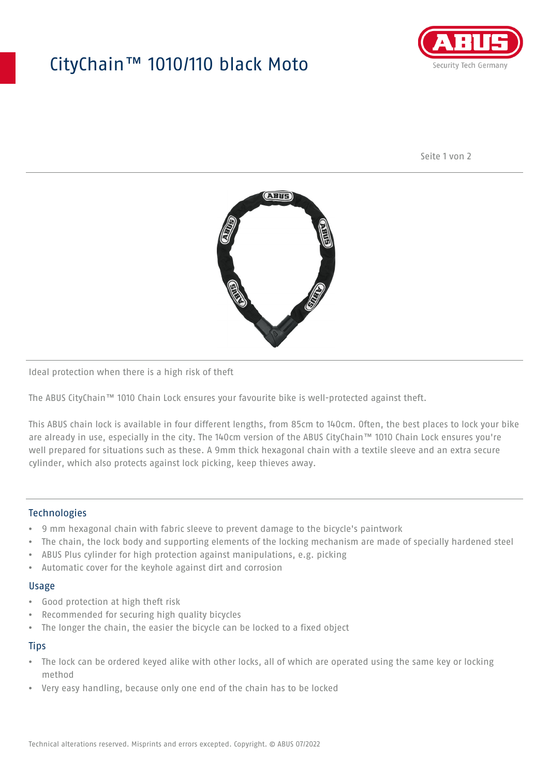## CityChain™ 1010/110 black Moto



Seite 1 von 2



Ideal protection when there is a high risk of theft

The ABUS CityChain™ 1010 Chain Lock ensures your favourite bike is well-protected against theft.

This ABUS chain lock is available in four different lengths, from 85cm to 140cm. Often, the best places to lock your bike are already in use, especially in the city. The 140cm version of the ABUS CityChain™ 1010 Chain Lock ensures you're well prepared for situations such as these. A 9mm thick hexagonal chain with a textile sleeve and an extra secure cylinder, which also protects against lock picking, keep thieves away.

#### Technologies

- 9 mm hexagonal chain with fabric sleeve to prevent damage to the bicycle's paintwork
- The chain, the lock body and supporting elements of the locking mechanism are made of specially hardened steel
- ABUS Plus cylinder for high protection against manipulations, e.g. picking
- Automatic cover for the keyhole against dirt and corrosion

#### Usage

- Good protection at high theft risk
- Recommended for securing high quality bicycles
- The longer the chain, the easier the bicycle can be locked to a fixed object

#### **Tips**

- The lock can be ordered keyed alike with other locks, all of which are operated using the same key or locking method
- Very easy handling, because only one end of the chain has to be locked